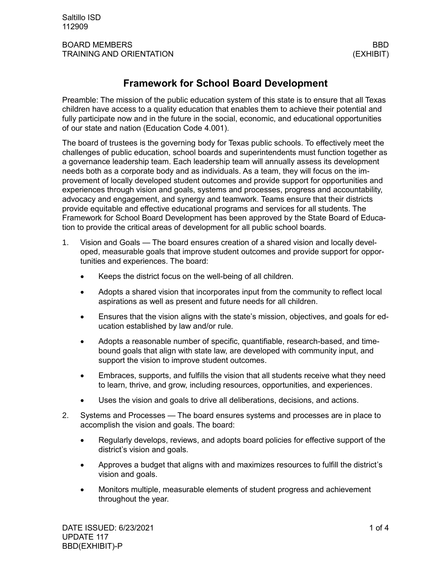## **Framework for School Board Development**

Preamble: The mission of the public education system of this state is to ensure that all Texas children have access to a quality education that enables them to achieve their potential and fully participate now and in the future in the social, economic, and educational opportunities of our state and nation (Education Code 4.001).

The board of trustees is the governing body for Texas public schools. To effectively meet the challenges of public education, school boards and superintendents must function together as a governance leadership team. Each leadership team will annually assess its development needs both as a corporate body and as individuals. As a team, they will focus on the improvement of locally developed student outcomes and provide support for opportunities and experiences through vision and goals, systems and processes, progress and accountability, advocacy and engagement, and synergy and teamwork. Teams ensure that their districts provide equitable and effective educational programs and services for all students. The Framework for School Board Development has been approved by the State Board of Education to provide the critical areas of development for all public school boards.

- 1. Vision and Goals The board ensures creation of a shared vision and locally developed, measurable goals that improve student outcomes and provide support for opportunities and experiences. The board:
	- Keeps the district focus on the well-being of all children.
	- Adopts a shared vision that incorporates input from the community to reflect local aspirations as well as present and future needs for all children.
	- Ensures that the vision aligns with the state's mission, objectives, and goals for education established by law and/or rule.
	- Adopts a reasonable number of specific, quantifiable, research-based, and timebound goals that align with state law, are developed with community input, and support the vision to improve student outcomes.
	- Embraces, supports, and fulfills the vision that all students receive what they need to learn, thrive, and grow, including resources, opportunities, and experiences.
	- Uses the vision and goals to drive all deliberations, decisions, and actions.
- 2. Systems and Processes The board ensures systems and processes are in place to accomplish the vision and goals. The board:
	- Regularly develops, reviews, and adopts board policies for effective support of the district's vision and goals.
	- Approves a budget that aligns with and maximizes resources to fulfill the district's vision and goals.
	- Monitors multiple, measurable elements of student progress and achievement throughout the year.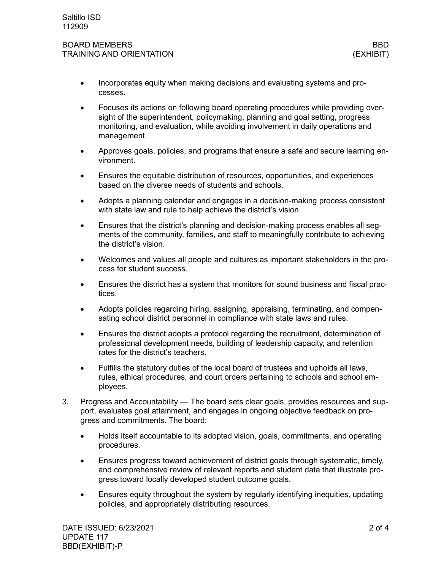- Incorporates equity when making decisions and evaluating systems and processes.
- Focuses its actions on following board operating procedures while providing oversight of the superintendent, policymaking, planning and goal setting, progress monitoring, and evaluation, while avoiding involvement in daily operations and management.
- Approves goals, policies, and programs that ensure a safe and secure learning environment.
- Ensures the equitable distribution of resources, opportunities, and experiences based on the diverse needs of students and schools.
- Adopts a planning calendar and engages in a decision-making process consistent with state law and rule to help achieve the district's vision.
- Ensures that the district's planning and decision-making process enables all segments of the community, families, and staff to meaningfully contribute to achieving the district's vision.
- Welcomes and values all people and cultures as important stakeholders in the process for student success.
- Ensures the district has a system that monitors for sound business and fiscal practices.
- Adopts policies regarding hiring, assigning, appraising, terminating, and compensating school district personnel in compliance with state laws and rules.
- Ensures the district adopts a protocol regarding the recruitment, determination of professional development needs, building of leadership capacity, and retention rates for the district's teachers.
- Fulfills the statutory duties of the local board of trustees and upholds all laws, rules, ethical procedures, and court orders pertaining to schools and school employees.
- 3. Progress and Accountability The board sets clear goals, provides resources and support, evaluates goal attainment, and engages in ongoing objective feedback on progress and commitments. The board:
	- Holds itself accountable to its adopted vision, goals, commitments, and operating procedures.
	- Ensures progress toward achievement of district goals through systematic, timely, and comprehensive review of relevant reports and student data that illustrate progress toward locally developed student outcome goals.
	- Ensures equity throughout the system by regularly identifying inequities, updating policies, and appropriately distributing resources.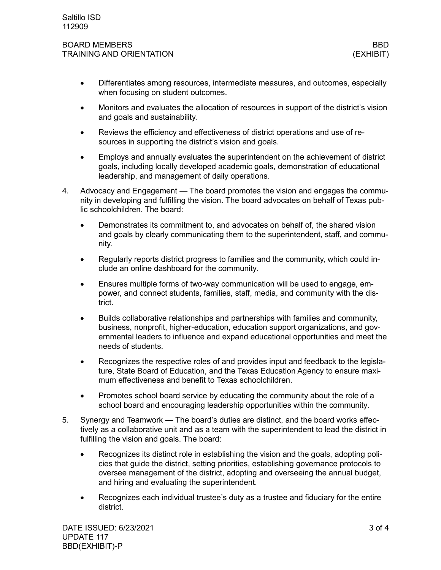- Differentiates among resources, intermediate measures, and outcomes, especially when focusing on student outcomes.
- Monitors and evaluates the allocation of resources in support of the district's vision and goals and sustainability.
- Reviews the efficiency and effectiveness of district operations and use of resources in supporting the district's vision and goals.
- Employs and annually evaluates the superintendent on the achievement of district goals, including locally developed academic goals, demonstration of educational leadership, and management of daily operations.
- 4. Advocacy and Engagement The board promotes the vision and engages the community in developing and fulfilling the vision. The board advocates on behalf of Texas public schoolchildren. The board:
	- Demonstrates its commitment to, and advocates on behalf of, the shared vision and goals by clearly communicating them to the superintendent, staff, and community.
	- Regularly reports district progress to families and the community, which could include an online dashboard for the community.
	- Ensures multiple forms of two-way communication will be used to engage, empower, and connect students, families, staff, media, and community with the district.
	- Builds collaborative relationships and partnerships with families and community, business, nonprofit, higher-education, education support organizations, and governmental leaders to influence and expand educational opportunities and meet the needs of students.
	- Recognizes the respective roles of and provides input and feedback to the legislature, State Board of Education, and the Texas Education Agency to ensure maximum effectiveness and benefit to Texas schoolchildren.
	- Promotes school board service by educating the community about the role of a school board and encouraging leadership opportunities within the community.
- 5. Synergy and Teamwork The board's duties are distinct, and the board works effectively as a collaborative unit and as a team with the superintendent to lead the district in fulfilling the vision and goals. The board:
	- Recognizes its distinct role in establishing the vision and the goals, adopting policies that guide the district, setting priorities, establishing governance protocols to oversee management of the district, adopting and overseeing the annual budget, and hiring and evaluating the superintendent.
	- Recognizes each individual trustee's duty as a trustee and fiduciary for the entire district.